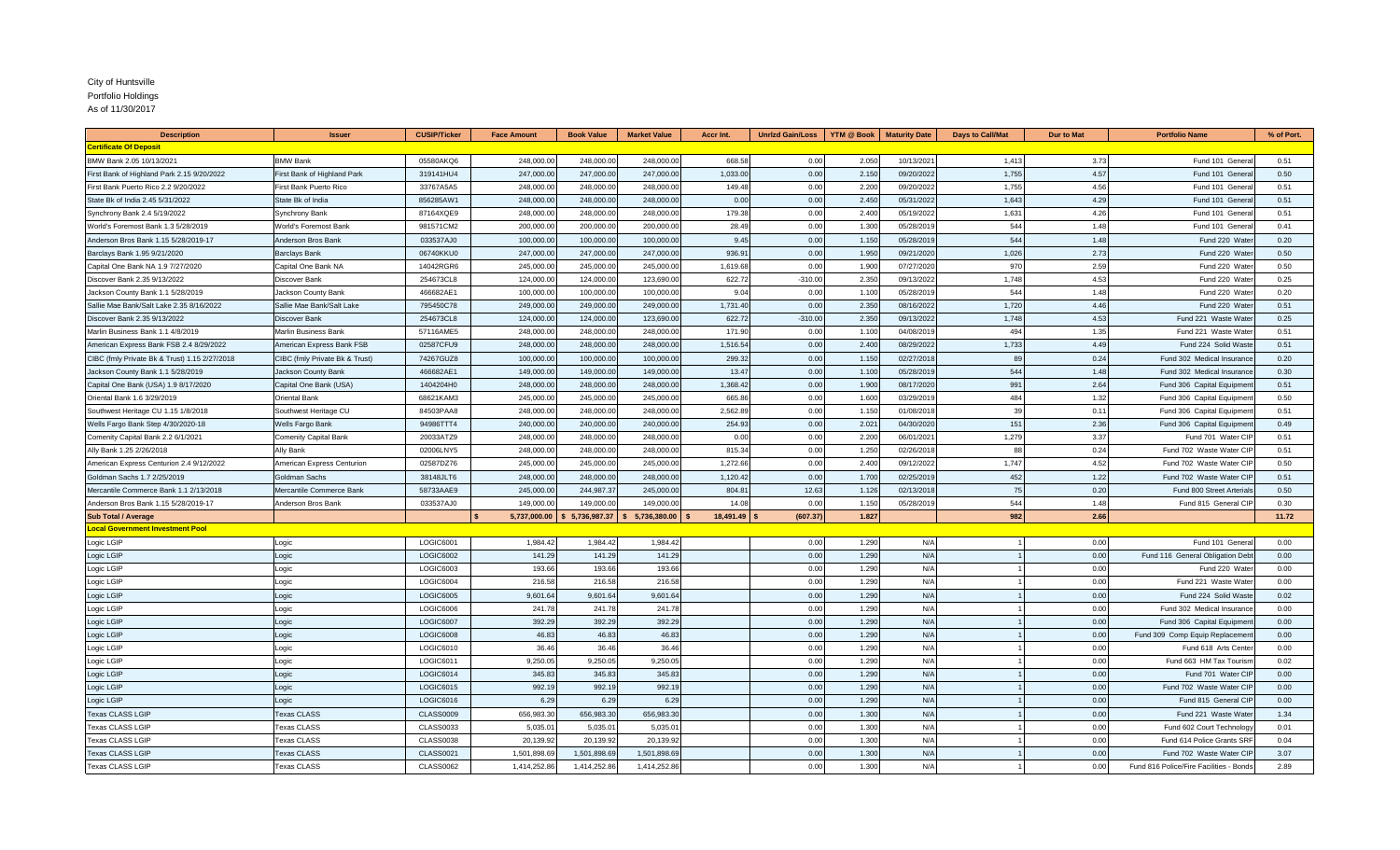## City of Huntsville

Portfolio Holdings

As of 11/30/2017

| <b>Description</b>                            | <b>Issuer</b>                  | <b>CUSIP/Ticker</b> | <b>Face Amount</b> | <b>Book Value</b> | <b>Market Value</b> | Accr Int. | <b>Unrizd Gain/Loss</b> | YTM @ Book     | <b>Maturity Date</b> | <b>Days to Call/Mat</b> | <b>Dur to Mat</b> | <b>Portfolio Name</b>                   | % of Port. |
|-----------------------------------------------|--------------------------------|---------------------|--------------------|-------------------|---------------------|-----------|-------------------------|----------------|----------------------|-------------------------|-------------------|-----------------------------------------|------------|
| <b>Certificate Of Deposit</b>                 |                                |                     |                    |                   |                     |           |                         |                |                      |                         |                   |                                         |            |
| BMW Bank 2.05 10/13/2021                      | <b>BMW Bank</b>                | 05580AKQ6           | 248,000.00         | 248,000.0         | 248,000.00          | 668.58    | 0.00                    | 2.050          | 10/13/2021           | 1,413                   | 3.73              | Fund 101 Genera                         | 0.51       |
| First Bank of Highland Park 2.15 9/20/2022    | First Bank of Highland Park    | 319141HU4           | 247,000.00         | 247,000.0         | 247,000.0           | 1,033.00  | 0.00                    | 2.150          | 09/20/2022           | 1,755                   | 4.57              | Fund 101 Genera                         | 0.50       |
| First Bank Puerto Rico 2.2 9/20/2022          | First Bank Puerto Rico         | 33767A5A5           | 248,000.00         | 248,000.0         | 248,000.0           | 149.48    | 0.00                    | 2.200          | 09/20/2022           | 1,755                   | 4.56              | Fund 101 Genera                         | 0.51       |
| State Bk of India 2.45 5/31/2022              | State Bk of India              | 856285AW1           | 248,000.00         | 248,000.0         | 248,000.0           | 0.00      | 0.00                    | 2.450          | 05/31/2022           | 1,643                   | 4.29              | Fund 101 Genera                         | 0.51       |
| Synchrony Bank 2.4 5/19/2022                  | Synchrony Bank                 | 87164XQE9           | 248,000.00         | 248,000.0         | 248,000.0           | 179.38    | 0.00                    | 2.400          | 05/19/2022           | 1,631                   | 4.26              | Fund 101 Genera                         | 0.51       |
| World's Foremost Bank 1.3 5/28/2019           | Vorld's Foremost Bank          | 981571CM2           | 200,000.00         | 200,000.0         | 200,000.0           | 28.49     | 0.00                    | 1.300          | 05/28/201            | 544                     | 1.48              | Fund 101 Genera                         | 0.41       |
| Anderson Bros Bank 1.15 5/28/2019-17          | Anderson Bros Bank             | 033537AJ0           | 100,000.00         | 100,000.0         | 100,000.0           | 9.45      | 0.00                    | 1.150          | 05/28/2019           | 544                     | 1.48              | Fund 220 Wate                           | 0.20       |
| Barclays Bank 1.95 9/21/2020                  | <b>Barclays Bank</b>           | 06740KKU0           | 247,000.00         | 247,000.0         | 247,000.0           | 936.9'    | 0.00                    | 1.950          | 09/21/2020           | 1,026                   | 2.73              | Fund 220 Wate                           | 0.50       |
| Capital One Bank NA 1.9 7/27/2020             | Capital One Bank NA            | 14042RGR6           | 245,000.00         | 245,000.0         | 245,000.0           | 1,619.68  | 0.00                    | 1.900          | 07/27/2020           | 970                     | 2.59              | Fund 220 Water                          | 0.50       |
| Discover Bank 2.35 9/13/2022                  | Discover Bank                  | 254673CL8           | 124,000.00         | 124,000.0         | 123,690.0           | 622.72    | $-310.00$               | 2.350          | 09/13/2022           | 1,748                   | 4.53              | Fund 220 Wate                           | 0.25       |
| Jackson County Bank 1.1 5/28/2019             | Jackson County Bank            | 466682AE1           | 100,000.00         | 100,000.00        | 100,000.00          | 9.04      | 0.00                    | 1.100          | 05/28/2019           | 544                     | 1.48              | Fund 220 Water                          | 0.20       |
| Sallie Mae Bank/Salt Lake 2.35 8/16/2022      | Sallie Mae Bank/Salt Lake      | 795450C78           | 249,000.00         | 249,000.00        | 249,000.00          | 1,731.40  | 0.00                    | 2.350          | 08/16/2022           | 1,720                   | 4.46              | Fund 220 Water                          | 0.51       |
| Discover Bank 2.35 9/13/2022                  | Discover Bank                  | 254673CL8           | 124,000.00         | 124,000.0         | 123,690.0           | 622.72    | $-310.00$               | 2.350          | 09/13/2022           | 1,748                   | 4.53              | Fund 221 Waste Wate                     | 0.25       |
| Marlin Business Bank 1.1 4/8/2019             | Marlin Business Bank           | 57116AME5           | 248,000.00         | 248,000.0         | 248,000.0           | 171.90    | 0.00                    | 1.100          | 04/08/2019           | 494                     | 1.35              | Fund 221 Waste Wate                     | 0.51       |
| American Express Bank FSB 2.4 8/29/2022       | American Express Bank FSB      | 02587CFU9           | 248,000.00         | 248,000.0         | 248,000.00          | 1,516.54  | 0.00                    | 2.400          | 08/29/2022           | 1,733                   | 4.49              | Fund 224 Solid Waste                    | 0.51       |
| CIBC (fmly Private Bk & Trust) 1.15 2/27/2018 | CIBC (fmly Private Bk & Trust) | 74267GUZ8           | 100,000.00         | 100,000.0         | 100,000.0           | 299.32    | 0.00                    | 1.150          | 02/27/2018           | 89                      | 0.24              | Fund 302 Medical Insurance              | 0.20       |
| Jackson County Bank 1.1 5/28/2019             | Jackson County Bank            | 466682AE1           | 149,000.00         | 149,000.0         | 149,000.0           | 13.47     | 0.00                    | 1.100          | 05/28/2019           | 544                     | 1.48              | Fund 302 Medical Insurance              | 0.30       |
| Capital One Bank (USA) 1.9 8/17/2020          | Capital One Bank (USA)         | 1404204H0           | 248,000.00         | 248,000.0         | 248,000.0           | 1,368.42  | 0.00                    | 1.900          | 08/17/2020           | 991                     | 2.64              | Fund 306 Capital Equipmen               | 0.51       |
| Oriental Bank 1.6 3/29/2019                   | <b>Oriental Bank</b>           | 68621KAM3           | 245,000.00         | 245,000.0         | 245,000.0           | 665.86    | 0.00                    | 1.600          | 03/29/2019           | 484                     | 1.32              | Fund 306 Capital Equipmen               | 0.50       |
| Southwest Heritage CU 1.15 1/8/2018           | Southwest Heritage CU          | 84503PAA8           | 248,000.00         | 248,000.0         | 248,000.0           | 2,562.89  | 0.00                    | 1.15           | 01/08/2018           | 39                      | 0.1               | Fund 306 Capital Equipmen               | 0.51       |
| Wells Fargo Bank Step 4/30/2020-18            | <b>Nells Fargo Bank</b>        | 94986TTT4           | 240,000.00         | 240,000.0         | 240,000.0           | 254.93    | 0.00                    | $2.02^{\circ}$ | 04/30/2020           | 151                     | 2.36              | Fund 306 Capital Equipmen               | 0.49       |
| Comenity Capital Bank 2.2 6/1/2021            | Comenity Capital Bank          | 20033ATZ9           | 248,000.00         | 248,000.0         | 248,000.0           | 0.00      | 0.00                    | 2.200          | 06/01/2021           | 1,279                   | 3.37              | Fund 701 Water CIF                      | 0.51       |
| Ally Bank 1.25 2/26/2018                      | Ally Bank                      | 02006LNY5           | 248,000.00         | 248,000.0         | 248,000.0           | 815.34    | 0.00                    | 1.250          | 02/26/2018           | 88                      | 0.24              | Fund 702 Waste Water CIF                | 0.51       |
| American Express Centurion 2.4 9/12/2022      | American Express Centurion     | 02587DZ76           | 245,000.00         | 245,000.0         | 245,000.0           | 1,272.66  | 0.00                    | 2.400          | 09/12/2022           | 1,747                   | 4.52              | Fund 702 Waste Water CIF                | 0.50       |
| Goldman Sachs 1.7 2/25/2019                   | Goldman Sachs                  | 38148JLT6           | 248,000.00         | 248,000.0         | 248,000.00          | 1,120.42  | 0.00                    | 1.700          | 02/25/2019           | 452                     | 1.22              | Fund 702 Waste Water CIF                | 0.51       |
| Mercantile Commerce Bank 1.1 2/13/2018        | Mercantile Commerce Bank       | 58733AAE9           | 245,000.00         | 244,987.37        | 245,000.00          | 804.81    | 12.63                   | 1.126          | 02/13/2018           | 75                      | 0.20              | Fund 800 Street Arterials               | 0.50       |
| Anderson Bros Bank 1.15 5/28/2019-17          | Anderson Bros Bank             | 033537AJ0           | 149,000.00         | 149,000.0         | 149,000.0           | 14.08     | 0.00                    | 1.150          | 05/28/2019           | 544                     | 1.48              | Fund 815 General CIF                    | 0.30       |
| <b>Sub Total / Average</b>                    |                                |                     | 5,737,000.00       | 5,736,987.37      | 5.736.380.00        | 18.491.49 | (607.37)                | 1.827          |                      | 982                     | 2.66              |                                         | 11.72      |
| <b>Local Government Investment Pool</b>       |                                |                     |                    |                   |                     |           |                         |                |                      |                         |                   |                                         |            |
| Logic LGIP                                    | Logic                          | LOGIC6001           | 1,984.42           | 1,984.42          | 1,984.42            |           | 0.00                    | 1.290          | N/A                  |                         | 0.00              | Fund 101 Genera                         | 0.00       |
| Logic LGIP                                    | _ogic                          | LOGIC6002           | 141.29             | 141.29            | 141.29              |           | 0.00                    | 1.290          | N/A                  |                         | 0.00              | Fund 116 General Obligation Deb         | 0.00       |
| Logic LGIP                                    | _ogic                          | LOGIC6003           | 193.66             | 193.6             | 193.6               |           | 0.00                    | 1.290          | N/A                  |                         | 0.00              | Fund 220 Wate                           | 0.00       |
| Logic LGIP                                    | _ogic                          | LOGIC6004           | 216.58             | 216.5             | 216.5               |           | 0.00                    | 1.290          | N/A                  |                         | 0.00              | Fund 221 Waste Wate                     | 0.00       |
| Logic LGIP                                    | _ogic                          | LOGIC6005           | 9.601.64           | 9.601.6           | 9,601,64            |           | 0.00                    | 1.290          | N/A                  |                         | 0.00              | Fund 224 Solid Waste                    | 0.02       |
| Logic LGIP                                    | _ogic                          | LOGIC6006           | 241.78             | 241.7             | 241.78              |           | 0.00                    | 1.290          | N/A                  |                         | 0.00              | Fund 302 Medical Insurance              | 0.00       |
| Logic LGIP                                    | Logic                          | LOGIC6007           | 392.29             | 392.29            | 392.29              |           | 0.00                    | 1.290          | N/A                  |                         | 0.00              | Fund 306 Capital Equipment              | 0.00       |
| Logic LGIP                                    | Logic                          | LOGIC6008           | 46.83              | 46.83             | 46.83               |           | 0.00                    | 1.290          | N/A                  |                         | 0.00              | Fund 309 Comp Equip Replacemen          | 0.00       |
| Logic LGIP                                    | Logic                          | LOGIC6010           | 36.46              | 36.46             | 36.46               |           | 0.00                    | 1.290          | N/A                  |                         | 0.00              | Fund 618 Arts Center                    | 0.00       |
| Logic LGIP                                    | Logic                          | LOGIC6011           | 9,250.05           | 9,250.05          | 9,250.0             |           | 0.00                    | 1.290          | N/A                  |                         | 0.00              | Fund 663 HM Tax Tourism                 | 0.02       |
| Logic LGIP                                    | _ogic                          | LOGIC6014           | 345.83             | 345.83            | 345.8               |           | 0.00                    | 1.290          | N/A                  |                         | 0.00              | Fund 701 Water CIF                      | 0.00       |
| Logic LGIP                                    | _ogic                          | LOGIC6015           | 992.19             | 992.1             | 992.1               |           | 0.00                    | 1.290          | N/A                  |                         | 0.00              | Fund 702 Waste Water CIF                | 0.00       |
| Logic LGIP                                    | _ogic                          | LOGIC6016           | 6.29               | 6.29              | 6.29                |           | 0.00                    | 1.290          | N/A                  |                         | 0.00              | Fund 815 General CIF                    | 0.00       |
| <b>Texas CLASS LGIP</b>                       | <b>Texas CLASS</b>             | <b>CLASS0009</b>    | 656,983.30         | 656,983.3         | 656,983.3           |           | 0.00                    | 1.300          | N/A                  |                         | 0.00              | Fund 221 Waste Wate                     | 1.34       |
| <b>Texas CLASS LGIP</b>                       | <b>Texas CLASS</b>             | <b>CLASS0033</b>    | 5,035.01           | 5,035.0           | 5,035.0             |           | 0.00                    | 1.300          | N/A                  |                         | 0.00              | Fund 602 Court Technolog                | 0.01       |
| <b>Texas CLASS LGIP</b>                       | <b>Texas CLASS</b>             | <b>CLASS0038</b>    | 20,139.92          | 20,139.9          | 20,139.9            |           | 0.00                    | 1.300          | N/A                  |                         | 0.00              | Fund 614 Police Grants SRI              | 0.04       |
| <b>Texas CLASS LGIP</b>                       | Texas CLASS                    | <b>CLASS0021</b>    | 1,501,898.69       | 1,501,898.6       | 1,501,898.6         |           | 0.00                    | 1.300          | N/A                  |                         | 0.00              | Fund 702 Waste Water CIF                | 3.07       |
| <b>Texas CLASS LGIP</b>                       | <b>Texas CLASS</b>             | <b>CLASS0062</b>    | 1.414.252.86       | 1.414.252.86      | 1.414.252.86        |           | 0.00                    | 1.300          | N/A                  |                         | 0.00              | Fund 816 Police/Fire Facilities - Bonds | 2.89       |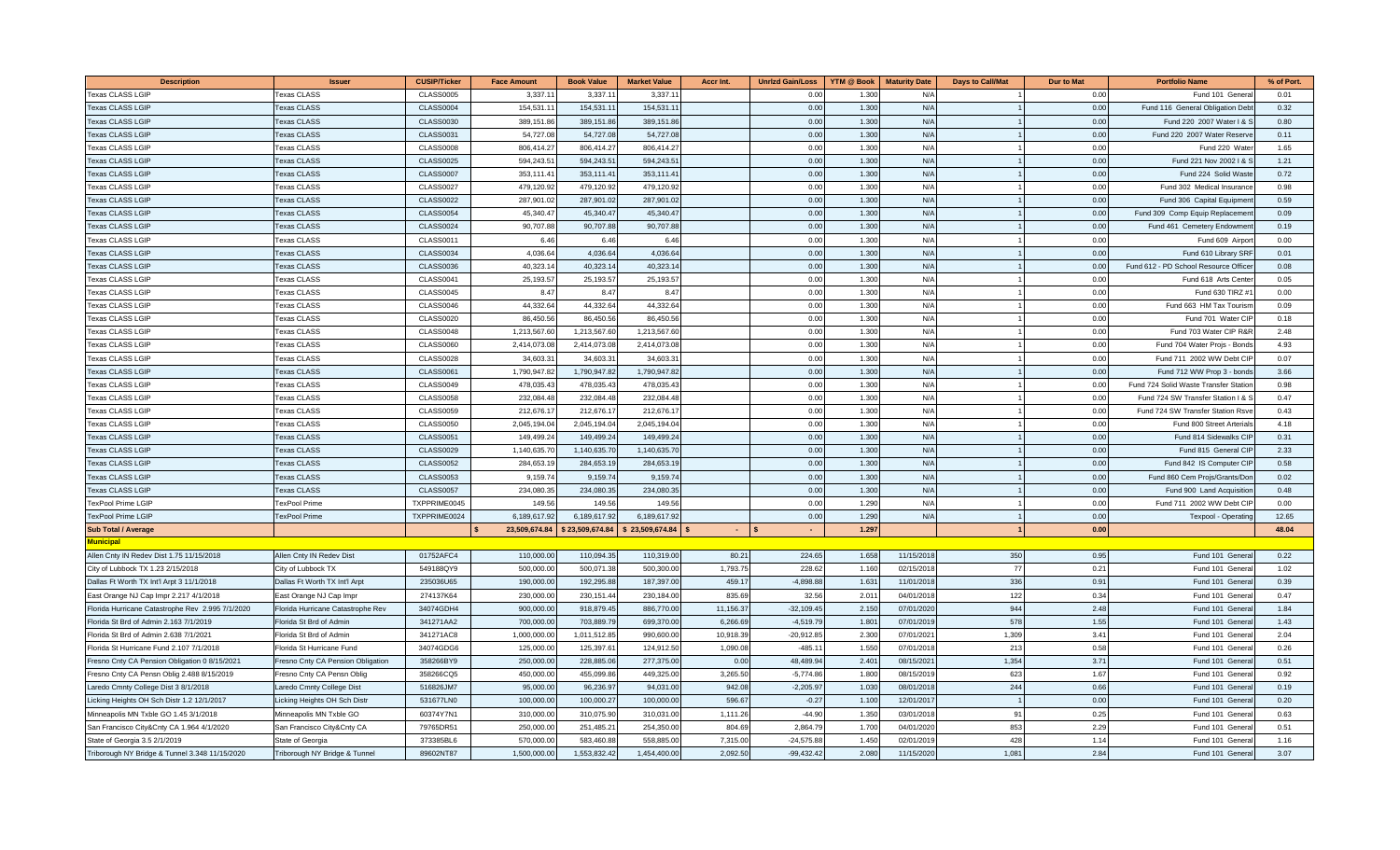| <b>Description</b>                               | Issuer                            | <b>CUSIP/Ticker</b> | <b>Face Amount</b> | <b>Book Value</b> | <b>Market Value</b>               | <b>Accr Int.</b> | <b>Unrizd Gain/Loss</b> | <b>YTM @ Book</b> | <b>Maturity Date</b>     | <b>Days to Call/Mat</b> | <b>Dur to Mat</b> | <b>Portfolio Name</b>                | % of Port.   |
|--------------------------------------------------|-----------------------------------|---------------------|--------------------|-------------------|-----------------------------------|------------------|-------------------------|-------------------|--------------------------|-------------------------|-------------------|--------------------------------------|--------------|
| Texas CLASS LGIP                                 | <b>Fexas CLASS</b>                | <b>CLASS0005</b>    | 3,337.1            | 3,337.1           | 3,337.                            |                  | 0.00                    | 1.30              | N/A                      |                         | 0.00              | Fund 101 Genera                      | 0.01         |
| <b>Texas CLASS LGIP</b>                          | <b>Texas CLASS</b>                | <b>CLASS0004</b>    | 154,531.1          | 154,531.1         | 154,531.                          |                  | 0.00                    | 1.300             | N/A                      |                         | 0.00              | Fund 116 General Obligation Deb      | 0.32         |
| <b>Texas CLASS LGIP</b>                          | <b>Texas CLASS</b>                | <b>CLASS0030</b>    | 389,151.86         | 389,151.8         | 389,151.8                         |                  | 0.00                    | 1.300             | N/A                      |                         | 0.00              | Fund 220 2007 Water I &              | 0.80         |
| <b>Texas CLASS LGIF</b>                          | Texas CLASS                       | <b>CLASS0031</b>    | 54.727.08          | 54,727.08         | 54,727.0                          |                  | 0.00                    | 1.300             | N/A                      |                         | 0.00              | Fund 220 2007 Water Reserve          | 0.11         |
| <b>Texas CLASS LGIF</b>                          | <b>Texas CLASS</b>                | <b>CLASS0008</b>    | 806,414.2          | 806.414.2         | 806.414.2                         |                  | 0.00                    | 1.30              | N/A                      |                         | 0.00              | Fund 220 Wate                        | 1.65         |
| <b>Texas CLASS LGIF</b>                          | <b>Texas CLASS</b>                | <b>CLASS0025</b>    | 594,243.51         | 594,243.5         | 594,243.5                         |                  | 0.00                    | 1.30              | N/A                      |                         | 0.00              | Fund 221 Nov 2002   &                | 1.21         |
| <b>Texas CLASS LGIP</b>                          | <b>Texas CLASS</b>                | <b>CLASS0007</b>    | 353,111.4          | 353,111.4         | 353,111.4                         |                  | 0.00                    | 1.30              | N/A                      |                         | 0.00              | Fund 224 Solid Wast                  | 0.72         |
| <b>Texas CLASS LGIF</b>                          | <b>Texas CLASS</b>                | <b>CLASS0027</b>    | 479,120.92         | 479.120.9         | 479,120.9                         |                  | 0.00                    | 1.300             | N/A                      |                         | 0.00              | Fund 302 Medical Insuranc            | 0.98         |
| <b>Texas CLASS LGIP</b>                          | <b>Texas CLASS</b>                | <b>CLASS0022</b>    | 287,901.02         | 287,901.0         | 287,901.0                         |                  | 0.00                    | 1.300             | N/A                      |                         | 0.00              | Fund 306 Capital Equipmen            | 0.59         |
| <b>Texas CLASS LGIP</b>                          | <b>Texas CLASS</b>                | <b>CLASS0054</b>    | 45,340.47          | 45,340.47         | 45,340.4                          |                  | 0.00                    | 1.300             | N/A                      |                         | 0.00              | Fund 309 Comp Equip Replacemen       | 0.09         |
| <b>Texas CLASS LGIP</b>                          | <b>Texas CLASS</b>                | <b>CLASS0024</b>    | 90,707.88          | 90,707.88         | 90,707.8                          |                  | 0.00                    | 1.300             | N/A                      |                         | 0.00              | Fund 461 Cemetery Endowmen           | 0.19         |
| <b>Texas CLASS LGIP</b>                          | <b>Texas CLASS</b>                | <b>CLASS0011</b>    | 6.46               | 6.46              | 6.46                              |                  | 0.00                    | 1.300             | N/A                      |                         | 0.00              | Fund 609 Airpor                      | 0.00         |
| <b>Texas CLASS LGIF</b>                          | <b>Texas CLASS</b>                | <b>CLASS0034</b>    | 4,036.6            | 4,036.64          | 4,036.6                           |                  | 0.00                    | 1.300             | N/A                      |                         | 0.00              | Fund 610 Library SR                  | 0.01         |
| <b>Texas CLASS LGIF</b>                          | <b>Texas CLASS</b>                | <b>CLASS0036</b>    | 40.323.1           | 40.323.1          | 40.323.1                          |                  | 0.00                    | 1.30              | N/A                      |                         | 0.00              | Fund 612 - PD School Resource Office | 0.08         |
| <b>Texas CLASS LGIF</b>                          | <b>Texas CLASS</b>                | <b>CLASS0041</b>    | 25,193.57          | 25,193.5          | 25,193.5                          |                  | 0.00                    | 1.30              | N/A                      |                         | 0.00              | Fund 618 Arts Cent                   | 0.05         |
| Texas CLASS LGIP                                 | <b>Texas CLASS</b>                | <b>CLASS0045</b>    | 8.47               | 8.47              | 8.47                              |                  | 0.00                    | 1.30              | N/A                      |                         | 0.00              | Fund 630 TIRZ #                      | 0.00         |
| <b>Texas CLASS LGIF</b>                          | <b>Texas CLASS</b>                | <b>CLASS0046</b>    | 44,332.64          | 44,332.64         | 44.332.6                          |                  | 0.00                    | 1.300             | N/A                      |                         | 0.00              | Fund 663 HM Tax Tourisn              | 0.09         |
| <b>Texas CLASS LGIF</b>                          | <b>Texas CLASS</b>                | <b>CLASS0020</b>    | 86,450.56          | 86,450.5          | 86,450.5                          |                  | 0.00                    | 1.300             | N/A                      |                         | 0.00              | Fund 701 Water Cl                    | 0.18         |
| Texas CLASS LGIP                                 | <b>Texas CLASS</b>                | CLASS0048           | 1,213,567.60       | 1,213,567.60      | 1,213,567.60                      |                  | 0.00                    | 1.300             | N/A                      |                         | 0.00              | Fund 703 Water CIP R&F               | 2.48         |
| <b>Texas CLASS LGIP</b>                          | <b>Texas CLASS</b>                | <b>CLASS0060</b>    | 2,414,073.08       | 2,414,073.0       | 2,414,073.0                       |                  | 0.00                    | 1.300             | N/A                      |                         | 0.00              | Fund 704 Water Projs - Bond          | 4.93         |
| <b>Texas CLASS LGIP</b>                          | <b>Texas CLASS</b>                | <b>CLASS0028</b>    | 34,603.3           | 34,603.3          | 34,603.3                          |                  | 0.00                    | 1.30              | N/A                      |                         | 0.00              | Fund 711 2002 WW Debt Cl             | 0.07         |
| <b>Texas CLASS LGIF</b>                          | <b>Texas CLASS</b>                | <b>CLASS0061</b>    | 1,790,947.8        | 1,790,947.8       | 1,790,947.8                       |                  | 0.00                    | 1.300             | N/A                      |                         | 0.00              | Fund 712 WW Prop 3 - bond            | 3.66         |
| <b>Texas CLASS LGIP</b>                          | <b>Texas CLASS</b>                | <b>CLASS0049</b>    | 478,035.4          | 478,035.4         | 478,035.4                         |                  | 0.00                    | 1.30              | N/A                      |                         | 0.00              | Fund 724 Solid Waste Transfer Static | 0.98         |
| <b>Texas CLASS LGIF</b>                          | <b>Texas CLASS</b>                | <b>CLASS0058</b>    | 232,084.48         | 232,084.48        | 232,084.4                         |                  | 0.00                    | 1.30              | N/A                      |                         | 0.00              | Fund 724 SW Transfer Station I &     | 0.47         |
| <b>Texas CLASS LGIP</b>                          | <b>Texas CLASS</b>                | <b>CLASS0059</b>    | 212,676.1          | 212.676.1         | 212,676.1                         |                  | 0.00                    | 1.300             | N/A                      |                         | 0.00              | Fund 724 SW Transfer Station Rsv     | 0.43         |
| <b>Texas CLASS LGIF</b>                          | <b>Texas CLASS</b>                | <b>CLASS0050</b>    | 2,045,194.04       | 2,045,194.04      | 2,045,194.0                       |                  | 0.00                    | 1.300             | N/A                      |                         | 0.00              | Fund 800 Street Arterial:            | 4.18         |
| <b>Texas CLASS LGIP</b>                          | <b>Texas CLASS</b>                | <b>CLASS0051</b>    | 149,499.2          | 149,499.2         | 149,499.2                         |                  | 0.00                    | 1.300             | N/A                      |                         | 0.00              | Fund 814 Sidewalks CIF               | 0.31         |
| <b>Texas CLASS LGIP</b>                          | <b>Texas CLASS</b>                | <b>CLASS0029</b>    | 1,140,635.70       | 1,140,635.7       | 1,140,635.7                       |                  | 0.00                    | 1.300             | N/A                      |                         | 0.00              | Fund 815 General CII                 | 2.33         |
| <b>Texas CLASS LGIP</b>                          | <b>Texas CLASS</b>                | <b>CLASS0052</b>    | 284,653.           | 284,653.1         | 284,653.1                         |                  | 0.00                    | 1.300             | N/A                      |                         | 0.00              | Fund 842 IS Computer CI              | 0.58         |
| <b>Texas CLASS LGIP</b>                          | <b>Texas CLASS</b>                | <b>CLASS0053</b>    | 9,159.7            | 9,159.7           | 9,159.7                           |                  | 0.00                    | 1.30              | N/A                      |                         | 0.00              | Fund 860 Cem Projs/Grants/Do         | 0.02         |
| <b>Texas CLASS LGIF</b>                          | <b>Texas CLASS</b>                | <b>CLASS0057</b>    | 234,080.           | 234,080.3         | 234,080.3                         |                  | 0.00                    | 1.30              | N/A                      |                         | 0.00              | Fund 900 Land Acquisitio             | 0.48         |
| TexPool Prime LGIP                               | <b>TexPool Prime</b>              | TXPPRIME0045        | 149.5              | 149.5             | 149.5                             |                  | 0.00                    | 1.29              | N/A                      |                         | 0.00              | Fund 711 2002 WW Debt Cl             | 0.00         |
| <b>TexPool Prime LGIP</b>                        | <b>TexPool Prime</b>              | TXPPRIME0024        | 6,189,617.92       | 6,189,617.9       | 6,189,617.9                       |                  | 0.00                    | 1.290             | N/A                      |                         | 0.00              | Texpool - Operatin                   | 12.65        |
| <b>Sub Total / Average</b>                       |                                   |                     | 23,509,674.84      |                   | $$23,509,674.84$ $$23,509,674.84$ | $\sim$           | $\sim$                  | 1.297             |                          |                         | 0.00              |                                      | 48.04        |
| <b>Municipal</b>                                 |                                   |                     |                    |                   |                                   |                  |                         |                   |                          |                         |                   |                                      |              |
| Allen Cnty IN Redev Dist 1.75 11/15/2018         | Allen Cnty IN Redev Dist          | 01752AFC4           | 110,000.00         | 110,094.35        | 110,319.00                        | 80.21            | 224.65                  | 1.658             | 11/15/2018               | 350                     | 0.95              | Fund 101 Genera                      | 0.22         |
| City of Lubbock TX 1.23 2/15/2018                | City of Lubbock TX                | 549188QY9           | 500,000.00         | 500,071.3         | 500,300.00                        | 1,793.75         | 228.62                  | 1.160             | 02/15/2018               | 77                      | 0.21              | Fund 101 Genera                      | 1.02         |
| Dallas Ft Worth TX Int'l Arpt 3 11/1/2018        | Dallas Ft Worth TX Int'l Arpt     | 235036U65           | 190,000.0          | 192,295.8         | 187,397.0                         | 459.1            | $-4,898.8$              | 1.63              | 11/01/201                | 336                     | 0.9'              | Fund 101 Genera                      | 0.39         |
| East Orange NJ Cap Impr 2.217 4/1/2018           | East Orange NJ Cap Impr           | 274137K64           | 230,000.0          | 230, 151.4        | 230,184.0                         | 835.6            | 32.5                    | 2.01              | 04/01/2018               | 122                     | 0.34              | Fund 101 Genera                      | 0.47         |
| Florida Hurricane Catastrophe Rev 2.995 7/1/2020 | Florida Hurricane Catastrophe Rev | 34074GDH4           | 900,000.0          | 918,879.4         | 886,770.0                         | 11,156.37        | $-32,109.45$            | 2.150             | 07/01/2020               | 944                     | 2.48              | Fund 101 Gener                       | 1.84         |
| Florida St Brd of Admin 2.163 7/1/2019           | Florida St Brd of Admin           | 341271AA2           | 700,000.0          | 703,889.7         | 699,370.0                         | 6,266.69         | $-4,519.7$              | 1.80              | 07/01/2019               | 578                     | 1.55              | Fund 101 Genera                      | 1.43         |
| Florida St Brd of Admin 2.638 7/1/2021           | Florida St Brd of Admin           | 341271AC8           | 1,000,000.00       | 1,011,512.8       | 990,600.0                         | 10,918.39        | $-20,912.8$             | 2.30              | 07/01/2021               | 1,309                   | 3.4'              | Fund 101 Genera                      | 2.04         |
| Florida St Hurricane Fund 2.107 7/1/2018         | Florida St Hurricane Fund         | 34074GDG6           | 125,000.00         | 125,397.6         | 124,912.5                         | 1,090.08         | $-485.1$                | 1.550             | 07/01/2018               | 213                     | 0.58              | Fund 101 Genera                      | 0.26         |
| Fresno Cnty CA Pension Obligation 0 8/15/2021    | Fresno Cnty CA Pension Obligation | 358266BY9           | 250,000.00         | 228,885.0         | 277,375.0<br>449.325.0            | 0.00             | 48,489.9<br>$-5.774.86$ | 2.40<br>1,800     | 08/15/2021<br>08/15/2019 | 1,354<br>623            | 3.71<br>1.67      | Fund 101 Genera<br>Fund 101 Genera   | 0.51<br>0.92 |
| Fresno Cnty CA Pensn Oblig 2.488 8/15/2019       | Fresno Cnty CA Pensn Oblig        | 358266CQ5           | 450,000.00         | 455,099.8         |                                   | 3,265.50         |                         |                   |                          |                         |                   |                                      |              |
| Laredo Cmnty College Dist 3 8/1/2018             | Laredo Cmnty College Dist         | 516826JM7           | 95,000.00          | 96,236.97         | 94,031.0                          | 942.08           | $-2,205.9$              | 1.03              | 08/01/2018               | 244                     | 0.66              | Fund 101 Genera                      | 0.19         |
| Licking Heights OH Sch Distr 1.2 12/1/2017       | Licking Heights OH Sch Distr      | 531677LN0           | 100,000.0          | 100,000.2         | 100,000.0                         | 596.67           | $-0.27$                 | 1.100             | 12/01/2017               |                         | 0.00              | Fund 101 Genera                      | 0.20         |
| Minneapolis MN Txble GO 1.45 3/1/2018            | Minneapolis MN Txble GO           | 60374Y7N1           | 310,000.0          | 310,075.9         | 310,031.0                         | 1,111.26         | $-44.90$                | 1.35              | 03/01/201                | 9                       | 0.25              | Fund 101 Gener                       | 0.63         |
| San Francisco City&Cnty CA 1.964 4/1/2020        | San Francisco City&Cnty CA        | 79765DR51           | 250,000.0          | 251,485.2         | 254,350.0                         | 804.69           | 2,864.7                 | 1.70              | 04/01/2020               | 853                     | 2.29              | Fund 101 Gener                       | 0.51         |
| State of Georgia 3.5 2/1/2019                    | State of Georgia                  | 373385BL6           | 570,000.0          | 583,460.8         | 558,885.0                         | 7,315.00         | $-24,575.8$             | 1.45              | 02/01/2019               | 428                     | 1.14              | Fund 101 Genera                      | 1.16<br>3.07 |
| Triborough NY Bridge & Tunnel 3.348 11/15/2020   | Triborough NY Bridge & Tunnel     | 89602NT87           | 1,500,000.00       | 1,553,832.42      | 1,454,400.00                      | 2,092.50         | $-99,432.42$            | 2.080             | 11/15/2020               | 1,08'                   | 2.84              | Fund 101 Genera                      |              |